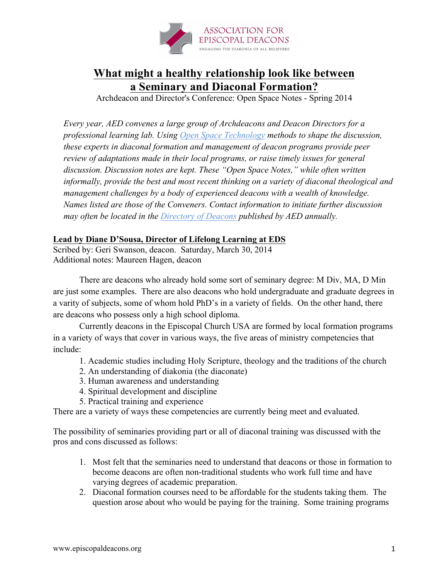

## **What might a healthy relationship look like between a Seminary and Diaconal Formation?**

Archdeacon and Director's Conference: Open Space Notes - Spring 2014

*Every year, AED convenes a large group of Archdeacons and Deacon Directors for a professional learning lab. Using Open Space Technology methods to shape the discussion, these experts in diaconal formation and management of deacon programs provide peer review of adaptations made in their local programs, or raise timely issues for general discussion. Discussion notes are kept. These "Open Space Notes," while often written informally, provide the best and most recent thinking on a variety of diaconal theological and management challenges by a body of experienced deacons with a wealth of knowledge. Names listed are those of the Conveners. Contact information to initiate further discussion may often be located in the Directory of Deacons published by AED annually.*

## **Lead by Diane D'Sousa, Director of Lifelong Learning at EDS**

Scribed by: Geri Swanson, deacon. Saturday, March 30, 2014 Additional notes: Maureen Hagen, deacon

There are deacons who already hold some sort of seminary degree: M Div, MA, D Min are just some examples. There are also deacons who hold undergraduate and graduate degrees in a varity of subjects, some of whom hold PhD's in a variety of fields. On the other hand, there are deacons who possess only a high school diploma.

Currently deacons in the Episcopal Church USA are formed by local formation programs in a variety of ways that cover in various ways, the five areas of ministry competencies that include:

- 1. Academic studies including Holy Scripture, theology and the traditions of the church
- 2. An understanding of diakonia (the diaconate)
- 3. Human awareness and understanding
- 4. Spiritual development and discipline
- 5. Practical training and experience

There are a variety of ways these competencies are currently being meet and evaluated.

The possibility of seminaries providing part or all of diaconal training was discussed with the pros and cons discussed as follows:

- 1. Most felt that the seminaries need to understand that deacons or those in formation to become deacons are often non-traditional students who work full time and have varying degrees of academic preparation.
- 2. Diaconal formation courses need to be affordable for the students taking them. The question arose about who would be paying for the training. Some training programs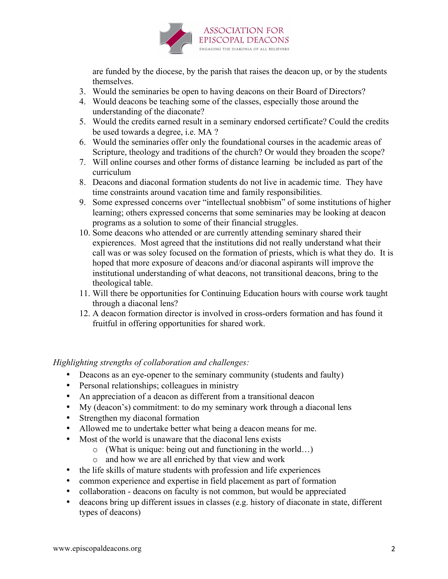

are funded by the diocese, by the parish that raises the deacon up, or by the students themselves.

- 3. Would the seminaries be open to having deacons on their Board of Directors?
- 4. Would deacons be teaching some of the classes, especially those around the understanding of the diaconate?
- 5. Would the credits earned result in a seminary endorsed certificate? Could the credits be used towards a degree, i.e. MA ?
- 6. Would the seminaries offer only the foundational courses in the academic areas of Scripture, theology and traditions of the church? Or would they broaden the scope?
- 7. Will online courses and other forms of distance learning be included as part of the curriculum
- 8. Deacons and diaconal formation students do not live in academic time. They have time constraints around vacation time and family responsibilities.
- 9. Some expressed concerns over "intellectual snobbism" of some institutions of higher learning; others expressed concerns that some seminaries may be looking at deacon programs as a solution to some of their financial struggles.
- 10. Some deacons who attended or are currently attending seminary shared their expierences. Most agreed that the institutions did not really understand what their call was or was soley focused on the formation of priests, which is what they do. It is hoped that more exposure of deacons and/or diaconal aspirants will improve the institutional understanding of what deacons, not transitional deacons, bring to the theological table.
- 11. Will there be opportunities for Continuing Education hours with course work taught through a diaconal lens?
- 12. A deacon formation director is involved in cross-orders formation and has found it fruitful in offering opportunities for shared work.

*Highlighting strengths of collaboration and challenges:*

- Deacons as an eye-opener to the seminary community (students and faulty)
- Personal relationships; colleagues in ministry
- An appreciation of a deacon as different from a transitional deacon
- My (deacon's) commitment: to do my seminary work through a diaconal lens
- Strengthen my diaconal formation
- Allowed me to undertake better what being a deacon means for me.
- Most of the world is unaware that the diaconal lens exists
	- o (What is unique: being out and functioning in the world…)
	- o and how we are all enriched by that view and work
- the life skills of mature students with profession and life experiences
- common experience and expertise in field placement as part of formation
- collaboration deacons on faculty is not common, but would be appreciated
- deacons bring up different issues in classes (e.g. history of diaconate in state, different types of deacons)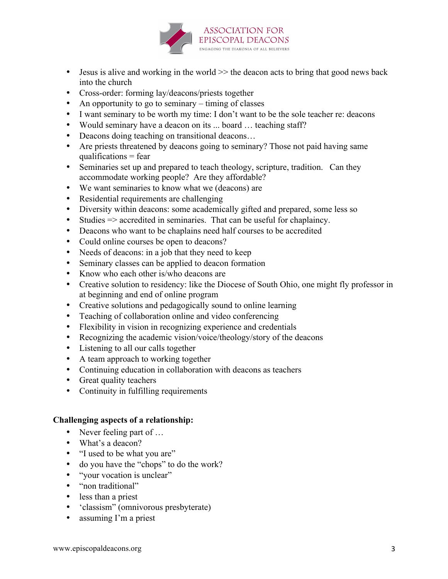

- Jesus is alive and working in the world  $\gg$  the deacon acts to bring that good news back into the church
- Cross-order: forming lay/deacons/priests together
- An opportunity to go to seminary timing of classes
- I want seminary to be worth my time: I don't want to be the sole teacher re: deacons
- Would seminary have a deacon on its ... board ... teaching staff?
- Deacons doing teaching on transitional deacons...
- Are priests threatened by deacons going to seminary? Those not paid having same qualifications  $=$  fear
- Seminaries set up and prepared to teach theology, scripture, tradition. Can they accommodate working people? Are they affordable?
- We want seminaries to know what we (deacons) are
- Residential requirements are challenging
- Diversity within deacons: some academically gifted and prepared, some less so
- Studies => accredited in seminaries. That can be useful for chaplaincy.
- Deacons who want to be chaplains need half courses to be accredited
- Could online courses be open to deacons?
- Needs of deacons: in a job that they need to keep
- Seminary classes can be applied to deacon formation
- Know who each other is/who deacons are
- Creative solution to residency: like the Diocese of South Ohio, one might fly professor in at beginning and end of online program
- Creative solutions and pedagogically sound to online learning
- Teaching of collaboration online and video conferencing
- Flexibility in vision in recognizing experience and credentials
- Recognizing the academic vision/voice/theology/story of the deacons
- Listening to all our calls together
- A team approach to working together
- Continuing education in collaboration with deacons as teachers
- Great quality teachers
- Continuity in fulfilling requirements

## **Challenging aspects of a relationship:**

- Never feeling part of ...
- What's a deacon?
- "I used to be what you are"
- do you have the "chops" to do the work?
- "your vocation is unclear"
- "non traditional"
- less than a priest
- 'classism" (omnivorous presbyterate)
- assuming I'm a priest